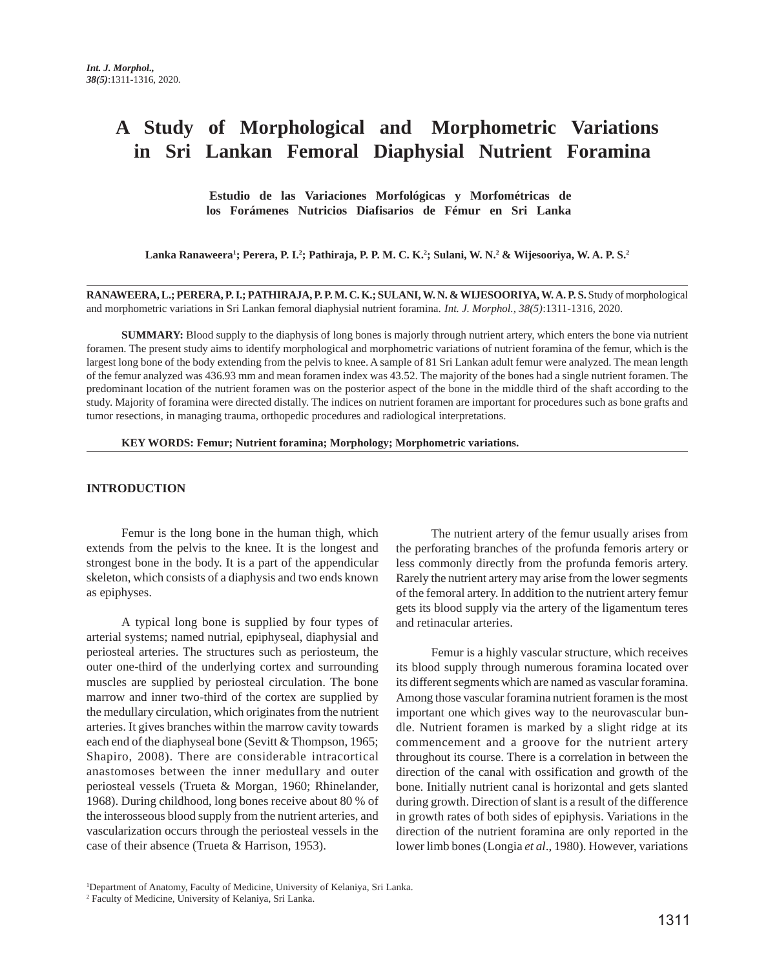# **A Study of Morphological and Morphometric Variations in Sri Lankan Femoral Diaphysial Nutrient Foramina**

 **Estudio de las Variaciones Morfológicas y Morfométricas de los Forámenes Nutricios Diafisarios de Fémur en Sri Lanka**

**Lanka Ranaweera1 ; Perera, P. I.2 ; Pathiraja, P. P. M. C. K.2 ; Sulani, W. N.2 & Wijesooriya, W. A. P. S.2**

**RANAWEERA, L.; PERERA, P. I.; PATHIRAJA, P. P. M. C. K.; SULANI, W. N. & WIJESOORIYA, W. A. P. S.** Study of morphological and morphometric variations in Sri Lankan femoral diaphysial nutrient foramina. *Int. J. Morphol., 38(5)*:1311-1316, 2020.

**SUMMARY:** Blood supply to the diaphysis of long bones is majorly through nutrient artery, which enters the bone via nutrient foramen. The present study aims to identify morphological and morphometric variations of nutrient foramina of the femur, which is the largest long bone of the body extending from the pelvis to knee. A sample of 81 Sri Lankan adult femur were analyzed. The mean length of the femur analyzed was 436.93 mm and mean foramen index was 43.52. The majority of the bones had a single nutrient foramen. The predominant location of the nutrient foramen was on the posterior aspect of the bone in the middle third of the shaft according to the study. Majority of foramina were directed distally. The indices on nutrient foramen are important for procedures such as bone grafts and tumor resections, in managing trauma, orthopedic procedures and radiological interpretations.

**KEY WORDS: Femur; Nutrient foramina; Morphology; Morphometric variations.**

#### **INTRODUCTION**

Femur is the long bone in the human thigh, which extends from the pelvis to the knee. It is the longest and strongest bone in the body. It is a part of the appendicular skeleton, which consists of a diaphysis and two ends known as epiphyses.

A typical long bone is supplied by four types of arterial systems; named nutrial, epiphyseal, diaphysial and periosteal arteries. The structures such as periosteum, the outer one-third of the underlying cortex and surrounding muscles are supplied by periosteal circulation. The bone marrow and inner two-third of the cortex are supplied by the medullary circulation, which originates from the nutrient arteries. It gives branches within the marrow cavity towards each end of the diaphyseal bone (Sevitt & Thompson, 1965; Shapiro, 2008). There are considerable intracortical anastomoses between the inner medullary and outer periosteal vessels (Trueta & Morgan, 1960; Rhinelander, 1968). During childhood, long bones receive about 80 % of the interosseous blood supply from the nutrient arteries, and vascularization occurs through the periosteal vessels in the case of their absence (Trueta & Harrison, 1953).

The nutrient artery of the femur usually arises from the perforating branches of the profunda femoris artery or less commonly directly from the profunda femoris artery. Rarely the nutrient artery may arise from the lower segments of the femoral artery. In addition to the nutrient artery femur gets its blood supply via the artery of the ligamentum teres and retinacular arteries.

Femur is a highly vascular structure, which receives its blood supply through numerous foramina located over its different segments which are named as vascular foramina. Among those vascular foramina nutrient foramen is the most important one which gives way to the neurovascular bundle. Nutrient foramen is marked by a slight ridge at its commencement and a groove for the nutrient artery throughout its course. There is a correlation in between the direction of the canal with ossification and growth of the bone. Initially nutrient canal is horizontal and gets slanted during growth. Direction of slant is a result of the difference in growth rates of both sides of epiphysis. Variations in the direction of the nutrient foramina are only reported in the lower limb bones (Longia *et al*., 1980). However, variations

<sup>1</sup> Department of Anatomy, Faculty of Medicine, University of Kelaniya, Sri Lanka. 2 Faculty of Medicine, University of Kelaniya, Sri Lanka.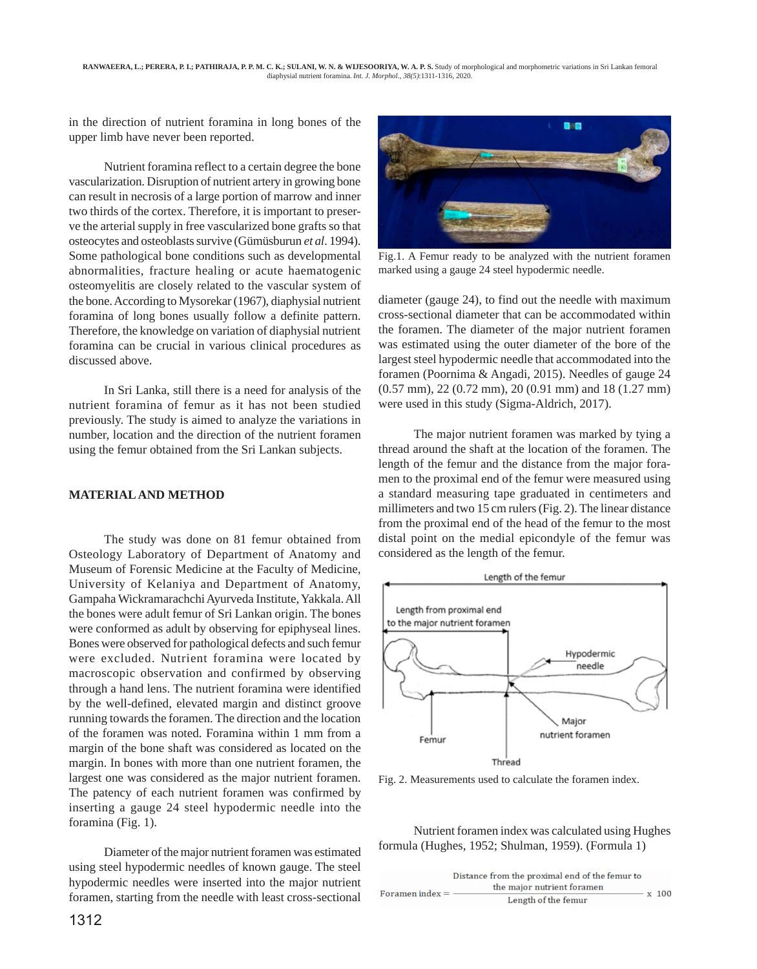in the direction of nutrient foramina in long bones of the upper limb have never been reported.

Nutrient foramina reflect to a certain degree the bone vascularization. Disruption of nutrient artery in growing bone can result in necrosis of a large portion of marrow and inner two thirds of the cortex. Therefore, it is important to preserve the arterial supply in free vascularized bone grafts so that osteocytes and osteoblasts survive (Gümüsburun *et al*. 1994). Some pathological bone conditions such as developmental abnormalities, fracture healing or acute haematogenic osteomyelitis are closely related to the vascular system of the bone. According to Mysorekar (1967), diaphysial nutrient foramina of long bones usually follow a definite pattern. Therefore, the knowledge on variation of diaphysial nutrient foramina can be crucial in various clinical procedures as discussed above.

In Sri Lanka, still there is a need for analysis of the nutrient foramina of femur as it has not been studied previously. The study is aimed to analyze the variations in number, location and the direction of the nutrient foramen using the femur obtained from the Sri Lankan subjects.

# **MATERIAL AND METHOD**

The study was done on 81 femur obtained from Osteology Laboratory of Department of Anatomy and Museum of Forensic Medicine at the Faculty of Medicine, University of Kelaniya and Department of Anatomy, Gampaha Wickramarachchi Ayurveda Institute, Yakkala. All the bones were adult femur of Sri Lankan origin. The bones were conformed as adult by observing for epiphyseal lines. Bones were observed for pathological defects and such femur were excluded. Nutrient foramina were located by macroscopic observation and confirmed by observing through a hand lens. The nutrient foramina were identified by the well-defined, elevated margin and distinct groove running towards the foramen. The direction and the location of the foramen was noted. Foramina within 1 mm from a margin of the bone shaft was considered as located on the margin. In bones with more than one nutrient foramen, the largest one was considered as the major nutrient foramen. The patency of each nutrient foramen was confirmed by inserting a gauge 24 steel hypodermic needle into the foramina (Fig. 1).

Diameter of the major nutrient foramen was estimated using steel hypodermic needles of known gauge. The steel hypodermic needles were inserted into the major nutrient foramen, starting from the needle with least cross-sectional



Fig.1. A Femur ready to be analyzed with the nutrient foramen marked using a gauge 24 steel hypodermic needle.

diameter (gauge 24), to find out the needle with maximum cross-sectional diameter that can be accommodated within the foramen. The diameter of the major nutrient foramen was estimated using the outer diameter of the bore of the largest steel hypodermic needle that accommodated into the foramen (Poornima & Angadi, 2015). Needles of gauge 24 (0.57 mm), 22 (0.72 mm), 20 (0.91 mm) and 18 (1.27 mm) were used in this study (Sigma-Aldrich, 2017).

The major nutrient foramen was marked by tying a thread around the shaft at the location of the foramen. The length of the femur and the distance from the major foramen to the proximal end of the femur were measured using a standard measuring tape graduated in centimeters and millimeters and two 15 cm rulers (Fig. 2). The linear distance from the proximal end of the head of the femur to the most distal point on the medial epicondyle of the femur was considered as the length of the femur.



Fig. 2. Measurements used to calculate the foramen index.

Nutrient foramen index was calculated using Hughes formula (Hughes, 1952; Shulman, 1959). (Formula 1)

|                   | Distance from the proximal end of the femur to |  |           |
|-------------------|------------------------------------------------|--|-----------|
| Foramen index $=$ | the major nutrient foramen                     |  | $- x 100$ |
|                   | Length of the femur                            |  |           |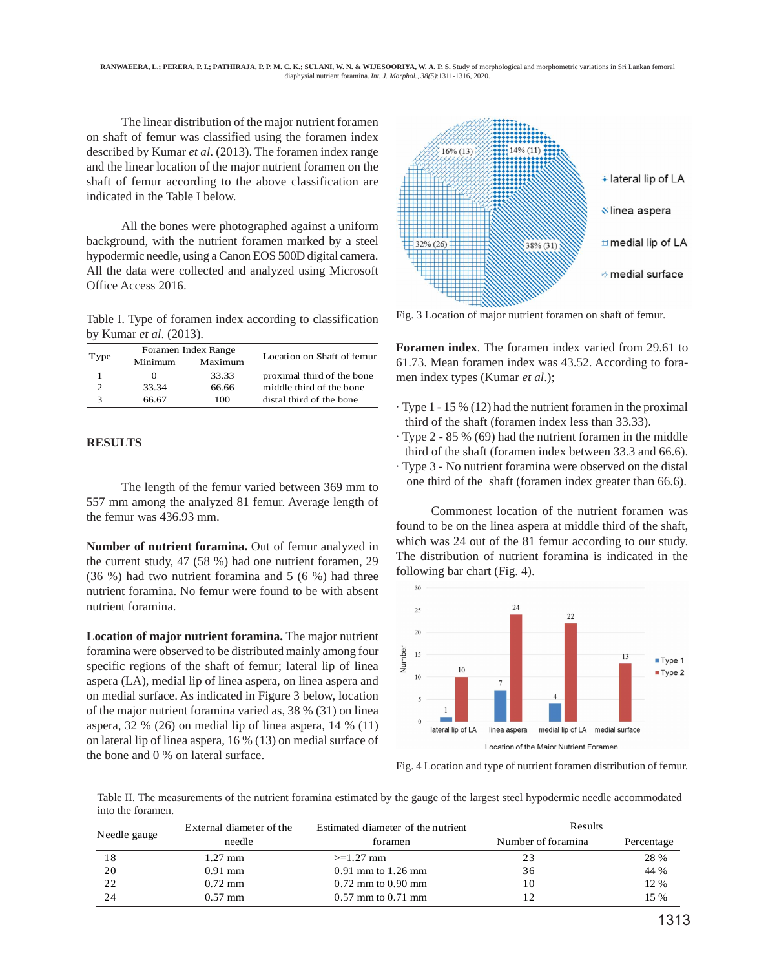The linear distribution of the major nutrient foramen on shaft of femur was classified using the foramen index described by Kumar *et al*. (2013). The foramen index range and the linear location of the major nutrient foramen on the shaft of femur according to the above classification are indicated in the Table I below.

All the bones were photographed against a uniform background, with the nutrient foramen marked by a steel hypodermic needle, using a Canon EOS 500D digital camera. All the data were collected and analyzed using Microsoft Office Access 2016.

Table I. Type of foramen index according to classification by Kumar *et al*. (2013).

| Type | Foramen Index Range |         | Location on Shaft of femur |  |
|------|---------------------|---------|----------------------------|--|
|      | Minimum             | Maximum |                            |  |
|      |                     | 33.33   | proximal third of the bone |  |
|      | 33 34               | 66.66   | middle third of the bone   |  |
| з    | 66.67               | 100     | distal third of the bone   |  |
|      |                     |         |                            |  |

# **RESULTS**

The length of the femur varied between 369 mm to 557 mm among the analyzed 81 femur. Average length of the femur was 436.93 mm.

**Number of nutrient foramina.** Out of femur analyzed in the current study, 47 (58 %) had one nutrient foramen, 29 (36 %) had two nutrient foramina and 5 (6 %) had three nutrient foramina. No femur were found to be with absent nutrient foramina.

**Location of major nutrient foramina.** The major nutrient foramina were observed to be distributed mainly among four specific regions of the shaft of femur; lateral lip of linea aspera (LA), medial lip of linea aspera, on linea aspera and on medial surface. As indicated in Figure 3 below, location of the major nutrient foramina varied as, 38 % (31) on linea aspera, 32 % (26) on medial lip of linea aspera, 14 % (11) on lateral lip of linea aspera, 16 % (13) on medial surface of the bone and 0 % on lateral surface.



Fig. 3 Location of major nutrient foramen on shaft of femur.

**Foramen index**. The foramen index varied from 29.61 to 61.73. Mean foramen index was 43.52. According to foramen index types (Kumar *et al*.);

- · Type 1 15 % (12) had the nutrient foramen in the proximal third of the shaft (foramen index less than 33.33).
- · Type 2 85 % (69) had the nutrient foramen in the middle third of the shaft (foramen index between 33.3 and 66.6).
- · Type 3 No nutrient foramina were observed on the distal one third of the shaft (foramen index greater than 66.6).

Commonest location of the nutrient foramen was found to be on the linea aspera at middle third of the shaft, which was 24 out of the 81 femur according to our study. The distribution of nutrient foramina is indicated in the following bar chart (Fig. 4).



Fig. 4 Location and type of nutrient foramen distribution of femur.

Table II. The measurements of the nutrient foramina estimated by the gauge of the largest steel hypodermic needle accommodated into the foramen.

| Needle gauge | External diameter of the | Estimated diameter of the nutrient | Results            |            |
|--------------|--------------------------|------------------------------------|--------------------|------------|
|              | needle                   | foramen                            | Number of foramina | Percentage |
| 18           | $1.27$ mm                | $>=1.27$ mm                        | 23                 | 28 %       |
| 20           | $0.91$ mm                | $0.91$ mm to 1.26 mm               | 36                 | 44 %       |
| 22           | $0.72$ mm                | $0.72$ mm to $0.90$ mm             | 10                 | 12 %       |
| 24           | $0.57$ mm                | $0.57$ mm to $0.71$ mm             |                    | 15 %       |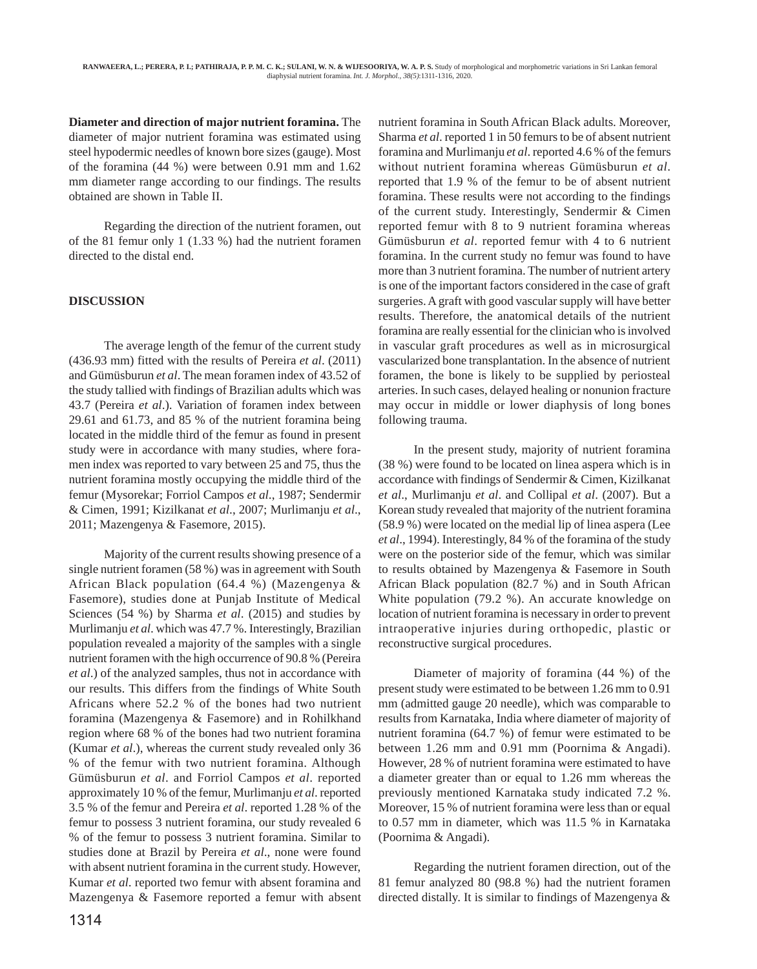**Diameter and direction of major nutrient foramina.** The diameter of major nutrient foramina was estimated using steel hypodermic needles of known bore sizes (gauge). Most of the foramina (44 %) were between 0.91 mm and 1.62 mm diameter range according to our findings. The results obtained are shown in Table II.

Regarding the direction of the nutrient foramen, out of the 81 femur only 1 (1.33 %) had the nutrient foramen directed to the distal end.

# **DISCUSSION**

The average length of the femur of the current study (436.93 mm) fitted with the results of Pereira *et al*. (2011) and Gümüsburun *et al*. The mean foramen index of 43.52 of the study tallied with findings of Brazilian adults which was 43.7 (Pereira *et al*.). Variation of foramen index between 29.61 and 61.73, and 85 % of the nutrient foramina being located in the middle third of the femur as found in present study were in accordance with many studies, where foramen index was reported to vary between 25 and 75, thus the nutrient foramina mostly occupying the middle third of the femur (Mysorekar; Forriol Campos *et al*., 1987; Sendermir & Cimen, 1991; Kizilkanat *et al*., 2007; Murlimanju *et al*., 2011; Mazengenya & Fasemore, 2015).

Majority of the current results showing presence of a single nutrient foramen (58 %) was in agreement with South African Black population (64.4 %) (Mazengenya & Fasemore), studies done at Punjab Institute of Medical Sciences (54 %) by Sharma *et al*. (2015) and studies by Murlimanju *et al*. which was 47.7 %. Interestingly, Brazilian population revealed a majority of the samples with a single nutrient foramen with the high occurrence of 90.8 % (Pereira *et al*.) of the analyzed samples, thus not in accordance with our results. This differs from the findings of White South Africans where 52.2 % of the bones had two nutrient foramina (Mazengenya & Fasemore) and in Rohilkhand region where 68 % of the bones had two nutrient foramina (Kumar *et al*.), whereas the current study revealed only 36 % of the femur with two nutrient foramina. Although Gümüsburun *et al*. and Forriol Campos *et al*. reported approximately 10 % of the femur, Murlimanju *et al*. reported 3.5 % of the femur and Pereira *et al*. reported 1.28 % of the femur to possess 3 nutrient foramina, our study revealed 6 % of the femur to possess 3 nutrient foramina. Similar to studies done at Brazil by Pereira *et al*., none were found with absent nutrient foramina in the current study. However, Kumar *et al*. reported two femur with absent foramina and Mazengenya & Fasemore reported a femur with absent nutrient foramina in South African Black adults. Moreover, Sharma *et al*. reported 1 in 50 femurs to be of absent nutrient foramina and Murlimanju *et al*. reported 4.6 % of the femurs without nutrient foramina whereas Gümüsburun *et al*. reported that 1.9 % of the femur to be of absent nutrient foramina. These results were not according to the findings of the current study. Interestingly, Sendermir & Cimen reported femur with 8 to 9 nutrient foramina whereas Gümüsburun *et al*. reported femur with 4 to 6 nutrient foramina. In the current study no femur was found to have more than 3 nutrient foramina. The number of nutrient artery is one of the important factors considered in the case of graft surgeries. A graft with good vascular supply will have better results. Therefore, the anatomical details of the nutrient foramina are really essential for the clinician who is involved in vascular graft procedures as well as in microsurgical vascularized bone transplantation. In the absence of nutrient foramen, the bone is likely to be supplied by periosteal arteries. In such cases, delayed healing or nonunion fracture may occur in middle or lower diaphysis of long bones following trauma.

In the present study, majority of nutrient foramina (38 %) were found to be located on linea aspera which is in accordance with findings of Sendermir & Cimen, Kizilkanat *et al*., Murlimanju *et al*. and Collipal *et al*. (2007). But a Korean study revealed that majority of the nutrient foramina (58.9 %) were located on the medial lip of linea aspera (Lee *et al*., 1994). Interestingly, 84 % of the foramina of the study were on the posterior side of the femur, which was similar to results obtained by Mazengenya & Fasemore in South African Black population (82.7 %) and in South African White population (79.2 %). An accurate knowledge on location of nutrient foramina is necessary in order to prevent intraoperative injuries during orthopedic, plastic or reconstructive surgical procedures.

Diameter of majority of foramina (44 %) of the present study were estimated to be between 1.26 mm to 0.91 mm (admitted gauge 20 needle), which was comparable to results from Karnataka, India where diameter of majority of nutrient foramina (64.7 %) of femur were estimated to be between 1.26 mm and 0.91 mm (Poornima & Angadi). However, 28 % of nutrient foramina were estimated to have a diameter greater than or equal to 1.26 mm whereas the previously mentioned Karnataka study indicated 7.2 %. Moreover, 15 % of nutrient foramina were less than or equal to 0.57 mm in diameter, which was 11.5 % in Karnataka (Poornima & Angadi).

Regarding the nutrient foramen direction, out of the 81 femur analyzed 80 (98.8 %) had the nutrient foramen directed distally. It is similar to findings of Mazengenya &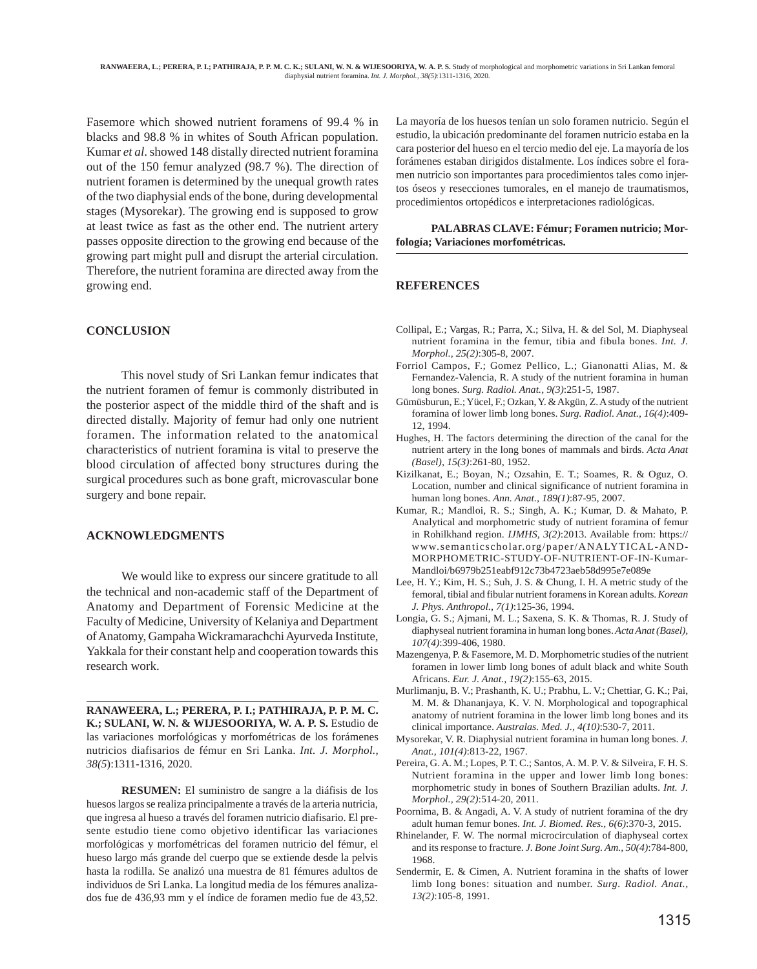Fasemore which showed nutrient foramens of 99.4 % in blacks and 98.8 % in whites of South African population. Kumar *et al*. showed 148 distally directed nutrient foramina out of the 150 femur analyzed (98.7 %). The direction of nutrient foramen is determined by the unequal growth rates of the two diaphysial ends of the bone, during developmental stages (Mysorekar). The growing end is supposed to grow at least twice as fast as the other end. The nutrient artery passes opposite direction to the growing end because of the growing part might pull and disrupt the arterial circulation. Therefore, the nutrient foramina are directed away from the growing end.

### **CONCLUSION**

This novel study of Sri Lankan femur indicates that the nutrient foramen of femur is commonly distributed in the posterior aspect of the middle third of the shaft and is directed distally. Majority of femur had only one nutrient foramen. The information related to the anatomical characteristics of nutrient foramina is vital to preserve the blood circulation of affected bony structures during the surgical procedures such as bone graft, microvascular bone surgery and bone repair.

#### **ACKNOWLEDGMENTS**

We would like to express our sincere gratitude to all the technical and non-academic staff of the Department of Anatomy and Department of Forensic Medicine at the Faculty of Medicine, University of Kelaniya and Department of Anatomy, Gampaha Wickramarachchi Ayurveda Institute, Yakkala for their constant help and cooperation towards this research work.

**RANAWEERA, L.; PERERA, P. I.; PATHIRAJA, P. P. M. C. K.; SULANI, W. N. & WIJESOORIYA, W. A. P. S.** Estudio de las variaciones morfológicas y morfométricas de los forámenes nutricios diafisarios de fémur en Sri Lanka. *Int. J. Morphol., 38(5*):1311-1316, 2020.

**RESUMEN:** El suministro de sangre a la diáfisis de los huesos largos se realiza principalmente a través de la arteria nutricia, que ingresa al hueso a través del foramen nutricio diafisario. El presente estudio tiene como objetivo identificar las variaciones morfológicas y morfométricas del foramen nutricio del fémur, el hueso largo más grande del cuerpo que se extiende desde la pelvis hasta la rodilla. Se analizó una muestra de 81 fémures adultos de individuos de Sri Lanka. La longitud media de los fémures analizados fue de 436,93 mm y el índice de foramen medio fue de 43,52.

La mayoría de los huesos tenían un solo foramen nutricio. Según el estudio, la ubicación predominante del foramen nutricio estaba en la cara posterior del hueso en el tercio medio del eje. La mayoría de los forámenes estaban dirigidos distalmente. Los índices sobre el foramen nutricio son importantes para procedimientos tales como injertos óseos y resecciones tumorales, en el manejo de traumatismos, procedimientos ortopédicos e interpretaciones radiológicas.

**PALABRAS CLAVE: Fémur; Foramen nutricio; Morfología; Variaciones morfométricas.**

### **REFERENCES**

- Collipal, E.; Vargas, R.; Parra, X.; Silva, H. & del Sol, M. Diaphyseal nutrient foramina in the femur, tibia and fibula bones. *Int. J. Morphol., 25(2)*:305-8, 2007.
- Forriol Campos, F.; Gomez Pellico, L.; Gianonatti Alias, M. & Fernandez-Valencia, R. A study of the nutrient foramina in human long bones. *Surg. Radiol. Anat., 9(3)*:251-5, 1987.
- Gümüsburun, E.; Yücel, F.; Ozkan, Y. & Akgün, Z. A study of the nutrient foramina of lower limb long bones. *Surg. Radiol. Anat., 16(4)*:409- 12, 1994.
- Hughes, H. The factors determining the direction of the canal for the nutrient artery in the long bones of mammals and birds. *Acta Anat (Basel), 15(3)*:261-80, 1952.
- Kizilkanat, E.; Boyan, N.; Ozsahin, E. T.; Soames, R. & Oguz, O. Location, number and clinical significance of nutrient foramina in human long bones. *Ann. Anat., 189(1)*:87-95, 2007.
- Kumar, R.; Mandloi, R. S.; Singh, A. K.; Kumar, D. & Mahato, P. Analytical and morphometric study of nutrient foramina of femur in Rohilkhand region. *IJMHS, 3(2)*:2013. Available from: https:// www.semanticscholar.org/paper/ANALYTICAL-AND-MORPHOMETRIC-STUDY-OF-NUTRIENT-OF-IN-Kumar-Mandloi/b6979b251eabf912c73b4723aeb58d995e7e089e
- Lee, H. Y.; Kim, H. S.; Suh, J. S. & Chung, I. H. A metric study of the femoral, tibial and fibular nutrient foramens in Korean adults. *Korean J. Phys. Anthropol., 7(1)*:125-36, 1994.
- Longia, G. S.; Ajmani, M. L.; Saxena, S. K. & Thomas, R. J. Study of diaphyseal nutrient foramina in human long bones. *Acta Anat (Basel), 107(4)*:399-406, 1980.
- Mazengenya, P. & Fasemore, M. D. Morphometric studies of the nutrient foramen in lower limb long bones of adult black and white South Africans. *Eur. J. Anat., 19(2)*:155-63, 2015.
- Murlimanju, B. V.; Prashanth, K. U.; Prabhu, L. V.; Chettiar, G. K.; Pai, M. M. & Dhananjaya, K. V. N. Morphological and topographical anatomy of nutrient foramina in the lower limb long bones and its clinical importance. *Australas. Med. J., 4(10)*:530-7, 2011.
- Mysorekar, V. R. Diaphysial nutrient foramina in human long bones. *J. Anat., 101(4)*:813-22, 1967.
- Pereira, G. A. M.; Lopes, P. T. C.; Santos, A. M. P. V. & Silveira, F. H. S. Nutrient foramina in the upper and lower limb long bones: morphometric study in bones of Southern Brazilian adults. *Int. J. Morphol., 29(2)*:514-20, 2011.
- Poornima, B. & Angadi, A. V. A study of nutrient foramina of the dry adult human femur bones. *Int. J. Biomed. Res., 6(6)*:370-3, 2015.
- Rhinelander, F. W. The normal microcirculation of diaphyseal cortex and its response to fracture. *J. Bone Joint Surg. Am., 50(4)*:784-800, 1968.
- Sendermir, E. & Cimen, A. Nutrient foramina in the shafts of lower limb long bones: situation and number. *Surg. Radiol. Anat., 13(2)*:105-8, 1991.